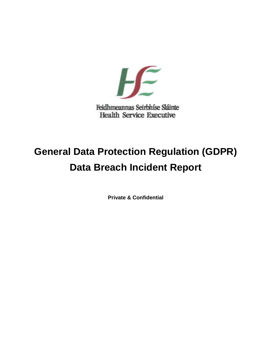

# **General Data Protection Regulation (GDPR) Data Breach Incident Report**

**Private & Confidential**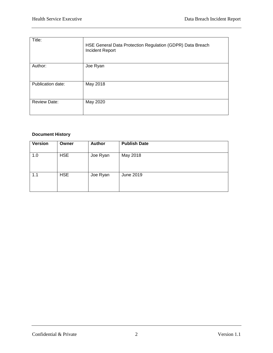| Title:              | HSE General Data Protection Regulation (GDPR) Data Breach<br><b>Incident Report</b> |
|---------------------|-------------------------------------------------------------------------------------|
| Author:             | Joe Ryan                                                                            |
| Publication date:   | May 2018                                                                            |
| <b>Review Date:</b> | May 2020                                                                            |

# **Document History**

| <b>Version</b> | Owner      | <b>Author</b> | <b>Publish Date</b> |
|----------------|------------|---------------|---------------------|
| 1.0            | <b>HSE</b> | Joe Ryan      | May 2018            |
| 1.1            | <b>HSE</b> | Joe Ryan      | June 2019           |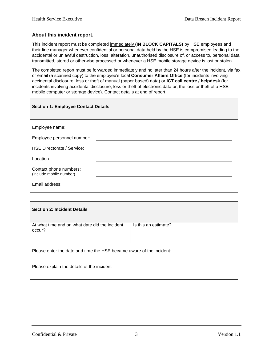## **About this incident report.**

This incident report must be completed immediately (**IN BLOCK CAPITALS)** by HSE employees and their line manager whenever confidential or personal data held by the HSE is compromised leading to the accidental or unlawful destruction, loss, alteration, unauthorised disclosure of, or access to, personal data transmitted, stored or otherwise processed or whenever a HSE mobile storage device is lost or stolen.

The completed report must be forwarded immediately and no later than 24 hours after the incident, via fax or email (a scanned copy) to the employee's local **Consumer Affairs Office** (for incidents involving accidental disclosure, loss or theft of manual (paper based) data) or **ICT call centre / helpdesk** (for incidents involving accidental disclosure, loss or theft of electronic data or, the loss or theft of a HSE mobile computer or storage device). Contact details at end of report.

| <b>Section 1: Employee Contact Details</b>        |  |
|---------------------------------------------------|--|
| Employee name:                                    |  |
| Employee personnel number:                        |  |
| HSE Directorate / Service:                        |  |
| Location                                          |  |
| Contact phone numbers:<br>(include mobile number) |  |
| Email address:                                    |  |

| <b>Section 2: Incident Details</b>                                   |                      |  |
|----------------------------------------------------------------------|----------------------|--|
| At what time and on what date did the incident<br>occur?             | Is this an estimate? |  |
| Please enter the date and time the HSE became aware of the incident: |                      |  |
| Please explain the details of the incident                           |                      |  |
|                                                                      |                      |  |
|                                                                      |                      |  |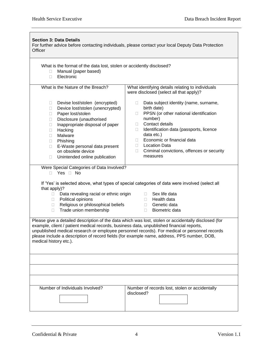| <b>Section 3: Data Details</b><br>For further advice before contacting individuals, please contact your local Deputy Data Protection<br>Officer                                                                                                                                                                                                                                                                           |                                                                                                                                                                                                                                                                                                                                                            |  |  |
|---------------------------------------------------------------------------------------------------------------------------------------------------------------------------------------------------------------------------------------------------------------------------------------------------------------------------------------------------------------------------------------------------------------------------|------------------------------------------------------------------------------------------------------------------------------------------------------------------------------------------------------------------------------------------------------------------------------------------------------------------------------------------------------------|--|--|
| What is the format of the data lost, stolen or accidently disclosed?<br>Manual (paper based)<br>O.<br>Electronic<br>П.                                                                                                                                                                                                                                                                                                    |                                                                                                                                                                                                                                                                                                                                                            |  |  |
| What is the Nature of the Breach?                                                                                                                                                                                                                                                                                                                                                                                         | What identifying details relating to individuals<br>were disclosed (select all that apply)?                                                                                                                                                                                                                                                                |  |  |
| Devise lost/stolen (encrypted)<br>u<br>Device lost/stolen (unencrypted)<br>u<br>Paper lost/stolen<br>u<br>Disclosure (unauthorised<br>u<br>Inappropriate disposal of paper<br>□<br>Hacking<br>O.<br>Malware<br>П<br>Phishing<br>$\Box$<br>E-Waste personal data present<br>П<br>on obsolete device<br>Unintended online publication<br>$\Box$                                                                             | Data subject identity (name, surname,<br>$\Box$<br>birth date)<br>PPSN (or other national identification<br>u<br>number)<br>Contact details<br>$\Box$<br>Identification data (passports, licence<br>$\Box$<br>data etc.)<br>Economic or financial data<br>П.<br><b>Location Data</b><br>□.<br>Criminal convictions, offences or security<br>П.<br>measures |  |  |
| Were Special Categories of Data Involved?<br>Yes $\Box$ No<br>П.<br>that apply)?<br>Data revealing racial or ethnic origin<br>Political opinions<br>u.<br>Religious or philosophical beliefs<br>ш<br>Trade union membership<br>$\Box$                                                                                                                                                                                     | If 'Yes' is selected above, what types of special categories of data were involved (select all<br>Sex life data<br>$\mathbf{L}$<br>Health data<br>$\mathbf{L}$<br>Genetic data<br>$\Box$<br>Biometric data<br>П.                                                                                                                                           |  |  |
| Please give a detailed description of the data which was lost, stolen or accidentally disclosed (for<br>example, client / patient medical records, business data, unpublished financial reports,<br>unpublished medical research or employee personnel records). For medical or personnel records<br>please include a description of record fields (for example name, address, PPS number, DOB,<br>medical history etc.). |                                                                                                                                                                                                                                                                                                                                                            |  |  |
|                                                                                                                                                                                                                                                                                                                                                                                                                           |                                                                                                                                                                                                                                                                                                                                                            |  |  |
| Number of Individuals Involved?                                                                                                                                                                                                                                                                                                                                                                                           | Number of records lost, stolen or accidentally<br>disclosed?                                                                                                                                                                                                                                                                                               |  |  |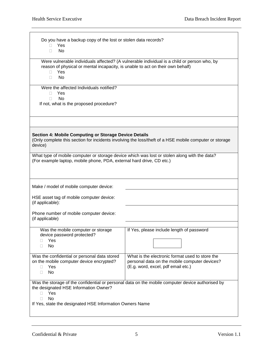| Do you have a backup copy of the lost or stolen data records?<br>Yes<br>П.                                                                                                                       |                                                                                                                                        |  |
|--------------------------------------------------------------------------------------------------------------------------------------------------------------------------------------------------|----------------------------------------------------------------------------------------------------------------------------------------|--|
| No<br>П.                                                                                                                                                                                         |                                                                                                                                        |  |
| Were vulnerable individuals affected? (A vulnerable individual is a child or person who, by<br>reason of physical or mental incapacity, is unable to act on their own behalf)<br>Yes<br>No<br>П. |                                                                                                                                        |  |
| Were the affected Individuals notified?                                                                                                                                                          |                                                                                                                                        |  |
| Yes<br>No<br>$\mathbf{L}$<br>If not, what is the proposed procedure?                                                                                                                             |                                                                                                                                        |  |
|                                                                                                                                                                                                  |                                                                                                                                        |  |
| <b>Section 4: Mobile Computing or Storage Device Details</b><br>device)                                                                                                                          | (Only complete this section for incidents involving the loss/theft of a HSE mobile computer or storage                                 |  |
| What type of mobile computer or storage device which was lost or stolen along with the data?<br>(For example laptop, mobile phone, PDA, external hard drive, CD etc.)                            |                                                                                                                                        |  |
| Make / model of mobile computer device:                                                                                                                                                          |                                                                                                                                        |  |
| HSE asset tag of mobile computer device:<br>(if applicable):                                                                                                                                     |                                                                                                                                        |  |
| Phone number of mobile computer device:<br>(if applicable)                                                                                                                                       |                                                                                                                                        |  |
| Was the mobile computer or storage<br>device password protected?                                                                                                                                 | If Yes, please include length of password                                                                                              |  |
| Yes<br>No<br>П                                                                                                                                                                                   |                                                                                                                                        |  |
| Was the confidential or personal data stored<br>on the mobile computer device encrypted?<br>Yes<br>П<br>No<br>П                                                                                  | What is the electronic format used to store the<br>personal data on the mobile computer devices?<br>(E.g. word, excel, pdf email etc.) |  |
| the designated HSE Information Owner?<br>Yes<br>No<br>П<br>If Yes, state the designated HSE Information Owners Name                                                                              | Was the storage of the confidential or personal data on the mobile computer device authorised by                                       |  |
|                                                                                                                                                                                                  |                                                                                                                                        |  |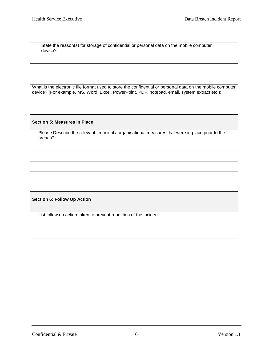State the reason(s) for storage of confidential or personal data on the mobile computer device?

What is the electronic file format used to store the confidential or personal data on the mobile computer device? (For example, MS, Word, Excel, PowerPoint, PDF, notepad, email, system extract etc.):

### **Section 5: Measures in Place**

Please Describe the relevant technical / organisational measures that were in place prior to the breach?

### **Section 6: Follow Up Action**

List follow up action taken to prevent repetition of the incident: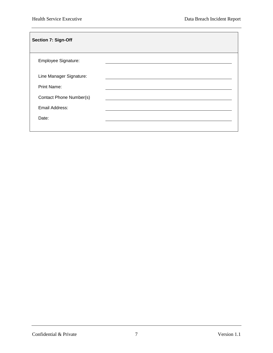| Section 7: Sign-Off            |  |
|--------------------------------|--|
| Employee Signature:            |  |
| Line Manager Signature:        |  |
| Print Name:                    |  |
| <b>Contact Phone Number(s)</b> |  |
| Email Address:                 |  |
| Date:                          |  |
|                                |  |